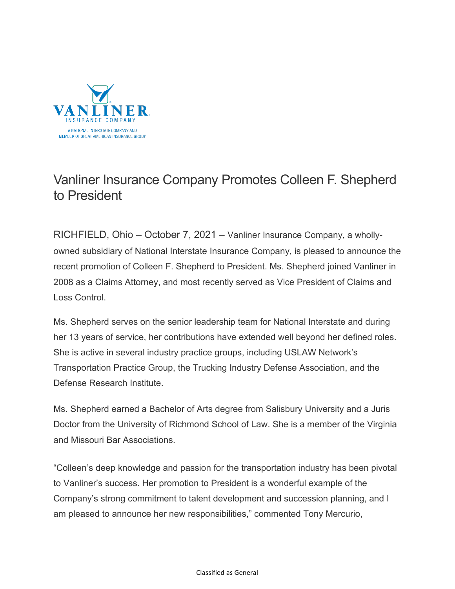

## Vanliner Insurance Company Promotes Colleen F. Shepherd to President

RICHFIELD, Ohio – October 7, 2021 – Vanliner Insurance Company, a whollyowned subsidiary of National Interstate Insurance Company, is pleased to announce the recent promotion of Colleen F. Shepherd to President. Ms. Shepherd joined Vanliner in 2008 as a Claims Attorney, and most recently served as Vice President of Claims and Loss Control.

Ms. Shepherd serves on the senior leadership team for National Interstate and during her 13 years of service, her contributions have extended well beyond her defined roles. She is active in several industry practice groups, including USLAW Network's Transportation Practice Group, the Trucking Industry Defense Association, and the Defense Research Institute.

Ms. Shepherd earned a Bachelor of Arts degree from Salisbury University and a Juris Doctor from the University of Richmond School of Law. She is a member of the Virginia and Missouri Bar Associations.

"Colleen's deep knowledge and passion for the transportation industry has been pivotal to Vanliner's success. Her promotion to President is a wonderful example of the Company's strong commitment to talent development and succession planning, and I am pleased to announce her new responsibilities," commented Tony Mercurio,